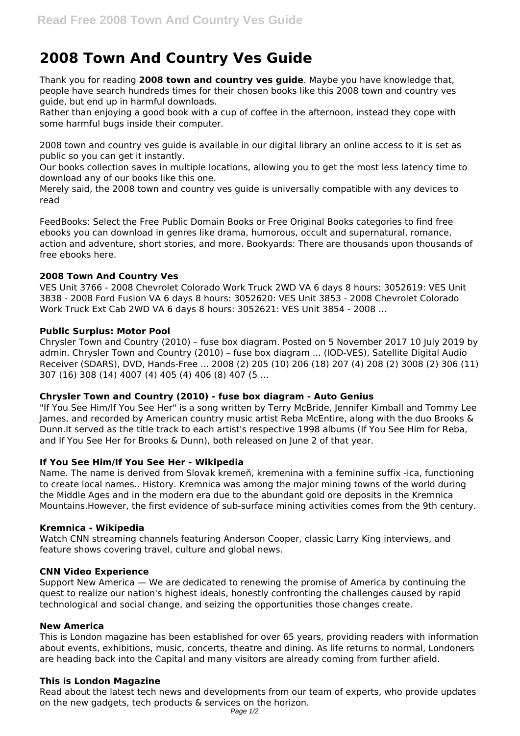# **2008 Town And Country Ves Guide**

Thank you for reading **2008 town and country ves guide**. Maybe you have knowledge that, people have search hundreds times for their chosen books like this 2008 town and country ves guide, but end up in harmful downloads.

Rather than enjoying a good book with a cup of coffee in the afternoon, instead they cope with some harmful bugs inside their computer.

2008 town and country ves guide is available in our digital library an online access to it is set as public so you can get it instantly.

Our books collection saves in multiple locations, allowing you to get the most less latency time to download any of our books like this one.

Merely said, the 2008 town and country ves guide is universally compatible with any devices to read

FeedBooks: Select the Free Public Domain Books or Free Original Books categories to find free ebooks you can download in genres like drama, humorous, occult and supernatural, romance, action and adventure, short stories, and more. Bookyards: There are thousands upon thousands of free ebooks here.

## **2008 Town And Country Ves**

VES Unit 3766 - 2008 Chevrolet Colorado Work Truck 2WD VA 6 days 8 hours: 3052619: VES Unit 3838 - 2008 Ford Fusion VA 6 days 8 hours: 3052620: VES Unit 3853 - 2008 Chevrolet Colorado Work Truck Ext Cab 2WD VA 6 days 8 hours: 3052621: VES Unit 3854 - 2008 ...

### **Public Surplus: Motor Pool**

Chrysler Town and Country (2010) – fuse box diagram. Posted on 5 November 2017 10 July 2019 by admin. Chrysler Town and Country (2010) – fuse box diagram ... (IOD-VES), Satellite Digital Audio Receiver (SDARS), DVD, Hands-Free ... 2008 (2) 205 (10) 206 (18) 207 (4) 208 (2) 3008 (2) 306 (11) 307 (16) 308 (14) 4007 (4) 405 (4) 406 (8) 407 (5 ...

## **Chrysler Town and Country (2010) - fuse box diagram - Auto Genius**

"If You See Him/If You See Her" is a song written by Terry McBride, Jennifer Kimball and Tommy Lee James, and recorded by American country music artist Reba McEntire, along with the duo Brooks & Dunn.It served as the title track to each artist's respective 1998 albums (If You See Him for Reba, and If You See Her for Brooks & Dunn), both released on June 2 of that year.

## **If You See Him/If You See Her - Wikipedia**

Name. The name is derived from Slovak kremeň, kremenina with a feminine suffix -ica, functioning to create local names.. History. Kremnica was among the major mining towns of the world during the Middle Ages and in the modern era due to the abundant gold ore deposits in the Kremnica Mountains.However, the first evidence of sub-surface mining activities comes from the 9th century.

#### **Kremnica - Wikipedia**

Watch CNN streaming channels featuring Anderson Cooper, classic Larry King interviews, and feature shows covering travel, culture and global news.

#### **CNN Video Experience**

Support New America — We are dedicated to renewing the promise of America by continuing the quest to realize our nation's highest ideals, honestly confronting the challenges caused by rapid technological and social change, and seizing the opportunities those changes create.

#### **New America**

This is London magazine has been established for over 65 years, providing readers with information about events, exhibitions, music, concerts, theatre and dining. As life returns to normal, Londoners are heading back into the Capital and many visitors are already coming from further afield.

## **This is London Magazine**

Read about the latest tech news and developments from our team of experts, who provide updates on the new gadgets, tech products & services on the horizon.